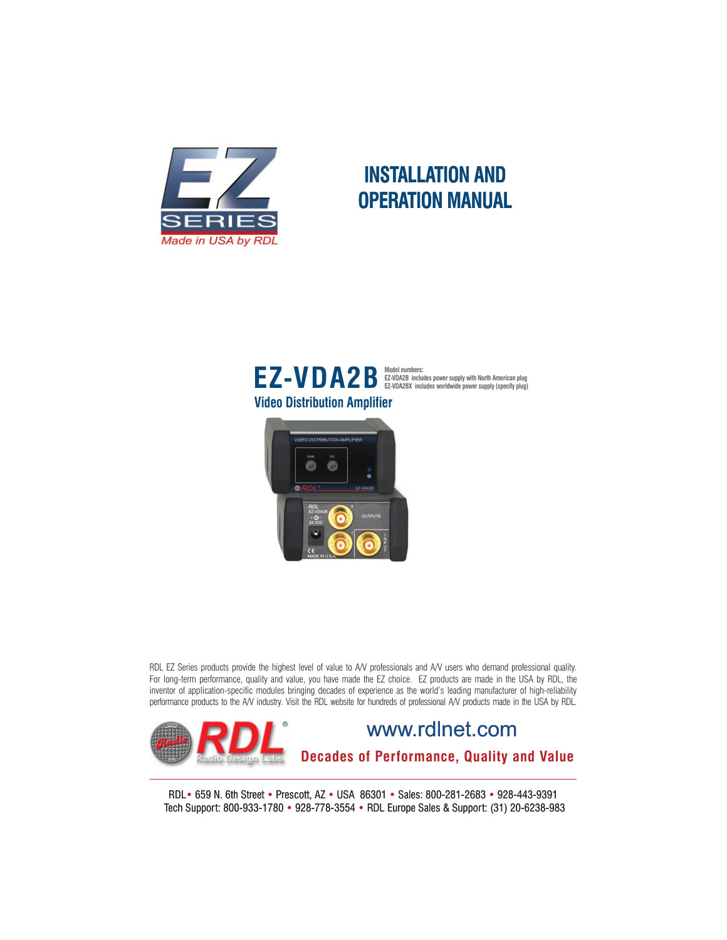

## **INSTALLATION AND OPERATION MANUAL**





RDL EZ Series products provide the highest level of value to A/V professionals and A/V users who demand professional quality. For long-term performance, quality and value, you have made the EZ choice. EZ products are made in the USA by RDL, the inventor of application-specific modules bringing decades of experience as the world's leading manufacturer of high-reliability performance products to the A/V industry. Visit the RDL website for hundreds of professional A/V products made in the USA by RDL.



RDL• 659 N. 6th Street • Prescott, AZ • USA 86301 • Sales: 800-281-2683 • 928-443-9391 Tech Support: 800-933-1780 • 928-778-3554 • RDL Europe Sales & Support: (31) 20-6238-983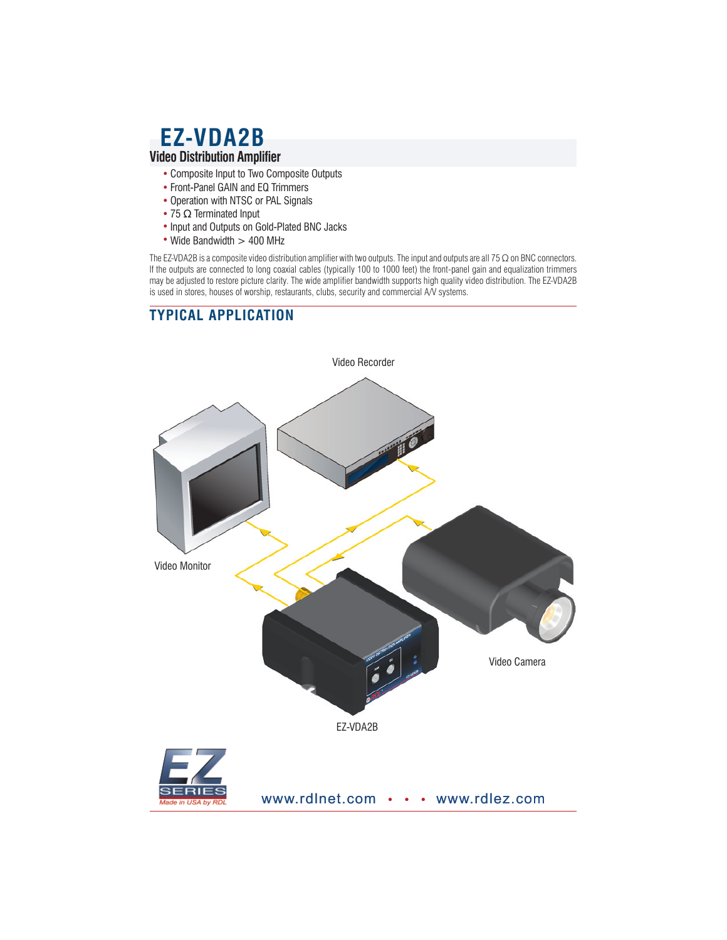## **EZ-VDA2B Video Distribution Amplifier**

- Composite Input to Two Composite Outputs
- Front-Panel GAIN and EQ Trimmers
- Operation with NTSC or PAL Signals
- 75 Ω Terminated Input
- Input and Outputs on Gold-Plated BNC Jacks
- Wide Bandwidth > 400 MHz

The EZ-VDA2B is a composite video distribution amplifier with two outputs. The input and outputs are all 75  $\Omega$  on BNC connectors. If the outputs are connected to long coaxial cables (typically 100 to 1000 feet) the front-panel gain and equalization trimmers may be adjusted to restore picture clarity. The wide amplifier bandwidth supports high quality video distribution. The EZ-VDA2B may be adjusted to restore picture clarity. The wide amplifier bandwidth supports high quality is used in stores, houses of worship, restaurants, clubs, security and commercial A/V systems.

## **TYPICAL APPLICATION**

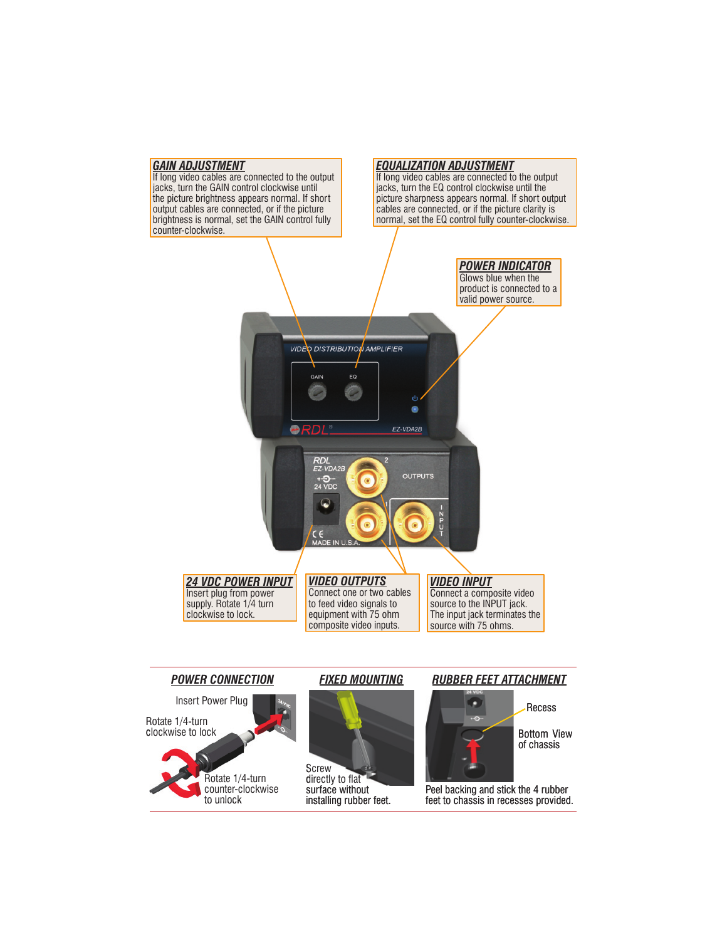